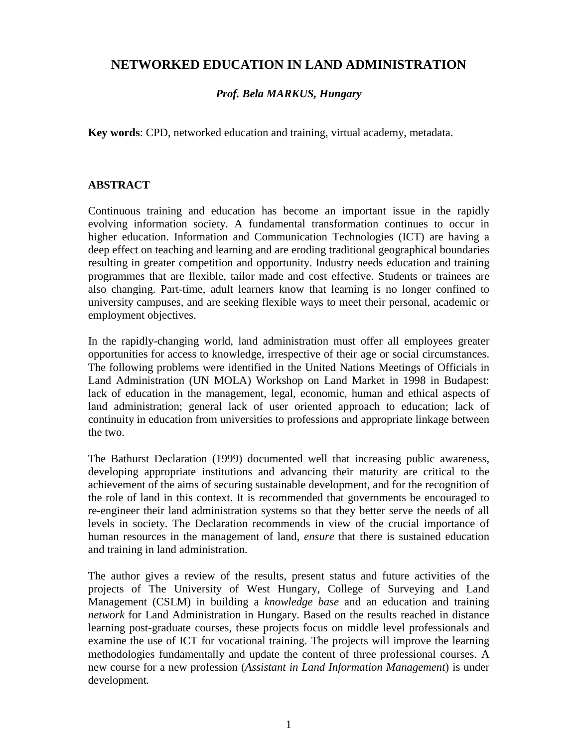# **NETWORKED EDUCATION IN LAND ADMINISTRATION**

## *Prof. Bela MARKUS, Hungary*

**Key words**: CPD, networked education and training, virtual academy, metadata.

### **ABSTRACT**

Continuous training and education has become an important issue in the rapidly evolving information society. A fundamental transformation continues to occur in higher education. Information and Communication Technologies (ICT) are having a deep effect on teaching and learning and are eroding traditional geographical boundaries resulting in greater competition and opportunity. Industry needs education and training programmes that are flexible, tailor made and cost effective. Students or trainees are also changing. Part-time, adult learners know that learning is no longer confined to university campuses, and are seeking flexible ways to meet their personal, academic or employment objectives.

In the rapidly-changing world, land administration must offer all employees greater opportunities for access to knowledge, irrespective of their age or social circumstances. The following problems were identified in the United Nations Meetings of Officials in Land Administration (UN MOLA) Workshop on Land Market in 1998 in Budapest: lack of education in the management, legal, economic, human and ethical aspects of land administration; general lack of user oriented approach to education; lack of continuity in education from universities to professions and appropriate linkage between the two.

The Bathurst Declaration (1999) documented well that increasing public awareness, developing appropriate institutions and advancing their maturity are critical to the achievement of the aims of securing sustainable development, and for the recognition of the role of land in this context. It is recommended that governments be encouraged to re-engineer their land administration systems so that they better serve the needs of all levels in society. The Declaration recommends in view of the crucial importance of human resources in the management of land, *ensure* that there is sustained education and training in land administration.

The author gives a review of the results, present status and future activities of the projects of The University of West Hungary, College of Surveying and Land Management (CSLM) in building a *knowledge base* and an education and training *network* for Land Administration in Hungary. Based on the results reached in distance learning post-graduate courses, these projects focus on middle level professionals and examine the use of ICT for vocational training. The projects will improve the learning methodologies fundamentally and update the content of three professional courses. A new course for a new profession (*Assistant in Land Information Management*) is under development*.*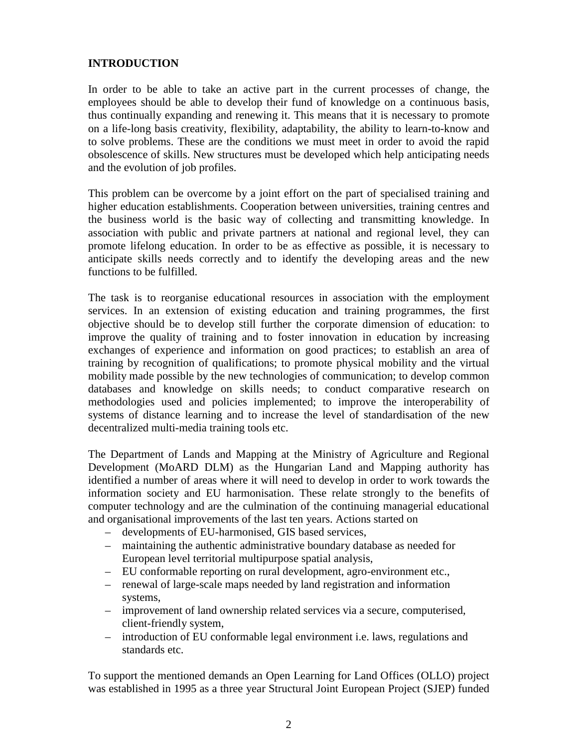### **INTRODUCTION**

In order to be able to take an active part in the current processes of change, the employees should be able to develop their fund of knowledge on a continuous basis, thus continually expanding and renewing it. This means that it is necessary to promote on a life-long basis creativity, flexibility, adaptability, the ability to learn-to-know and to solve problems. These are the conditions we must meet in order to avoid the rapid obsolescence of skills. New structures must be developed which help anticipating needs and the evolution of job profiles.

This problem can be overcome by a joint effort on the part of specialised training and higher education establishments. Cooperation between universities, training centres and the business world is the basic way of collecting and transmitting knowledge. In association with public and private partners at national and regional level, they can promote lifelong education. In order to be as effective as possible, it is necessary to anticipate skills needs correctly and to identify the developing areas and the new functions to be fulfilled.

The task is to reorganise educational resources in association with the employment services. In an extension of existing education and training programmes, the first objective should be to develop still further the corporate dimension of education: to improve the quality of training and to foster innovation in education by increasing exchanges of experience and information on good practices; to establish an area of training by recognition of qualifications; to promote physical mobility and the virtual mobility made possible by the new technologies of communication; to develop common databases and knowledge on skills needs; to conduct comparative research on methodologies used and policies implemented; to improve the interoperability of systems of distance learning and to increase the level of standardisation of the new decentralized multi-media training tools etc.

The Department of Lands and Mapping at the Ministry of Agriculture and Regional Development (MoARD DLM) as the Hungarian Land and Mapping authority has identified a number of areas where it will need to develop in order to work towards the information society and EU harmonisation. These relate strongly to the benefits of computer technology and are the culmination of the continuing managerial educational and organisational improvements of the last ten years. Actions started on

- developments of EU-harmonised, GIS based services,
- maintaining the authentic administrative boundary database as needed for European level territorial multipurpose spatial analysis,
- EU conformable reporting on rural development, agro-environment etc.,
- renewal of large-scale maps needed by land registration and information systems,
- improvement of land ownership related services via a secure, computerised, client-friendly system,
- introduction of EU conformable legal environment i.e. laws, regulations and standards etc.

To support the mentioned demands an Open Learning for Land Offices (OLLO) project was established in 1995 as a three year Structural Joint European Project (SJEP) funded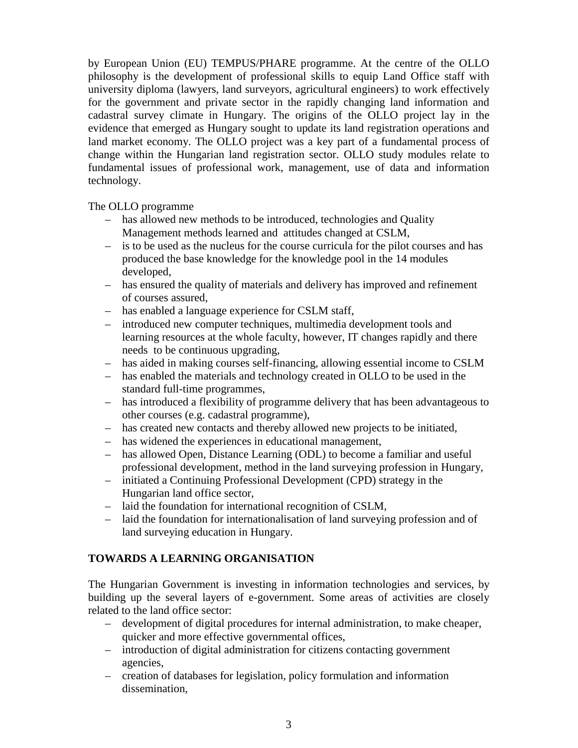by European Union (EU) TEMPUS/PHARE programme. At the centre of the OLLO philosophy is the development of professional skills to equip Land Office staff with university diploma (lawyers, land surveyors, agricultural engineers) to work effectively for the government and private sector in the rapidly changing land information and cadastral survey climate in Hungary. The origins of the OLLO project lay in the evidence that emerged as Hungary sought to update its land registration operations and land market economy. The OLLO project was a key part of a fundamental process of change within the Hungarian land registration sector. OLLO study modules relate to fundamental issues of professional work, management, use of data and information technology.

The OLLO programme

- has allowed new methods to be introduced, technologies and Quality Management methods learned and attitudes changed at CSLM,
- is to be used as the nucleus for the course curricula for the pilot courses and has produced the base knowledge for the knowledge pool in the 14 modules developed,
- has ensured the quality of materials and delivery has improved and refinement of courses assured,
- has enabled a language experience for CSLM staff,
- introduced new computer techniques, multimedia development tools and learning resources at the whole faculty, however, IT changes rapidly and there needs to be continuous upgrading,
- has aided in making courses self-financing, allowing essential income to CSLM
- has enabled the materials and technology created in OLLO to be used in the standard full-time programmes,
- has introduced a flexibility of programme delivery that has been advantageous to other courses (e.g. cadastral programme),
- has created new contacts and thereby allowed new projects to be initiated,
- has widened the experiences in educational management,
- has allowed Open, Distance Learning (ODL) to become a familiar and useful professional development, method in the land surveying profession in Hungary,
- initiated a Continuing Professional Development (CPD) strategy in the Hungarian land office sector,
- laid the foundation for international recognition of CSLM,
- laid the foundation for internationalisation of land surveying profession and of land surveying education in Hungary.

## **TOWARDS A LEARNING ORGANISATION**

The Hungarian Government is investing in information technologies and services, by building up the several layers of e-government. Some areas of activities are closely related to the land office sector:

- development of digital procedures for internal administration, to make cheaper, quicker and more effective governmental offices,
- introduction of digital administration for citizens contacting government agencies,
- creation of databases for legislation, policy formulation and information dissemination,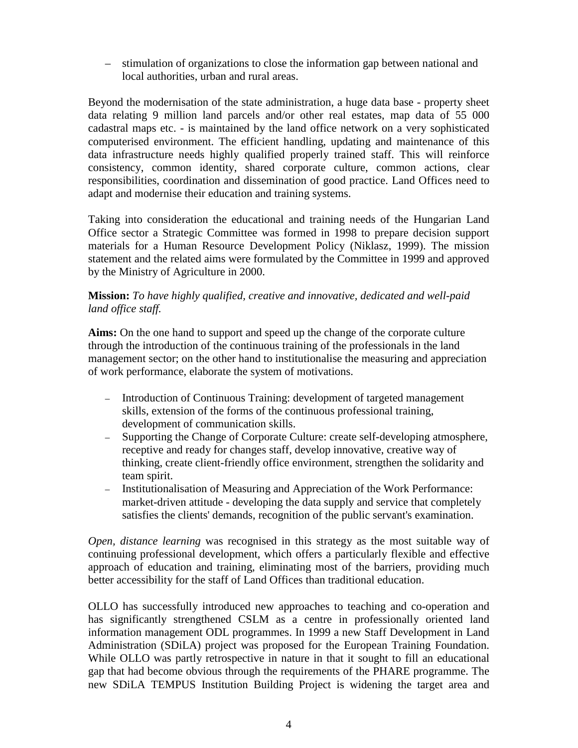– stimulation of organizations to close the information gap between national and local authorities, urban and rural areas.

Beyond the modernisation of the state administration, a huge data base - property sheet data relating 9 million land parcels and/or other real estates, map data of 55 000 cadastral maps etc. - is maintained by the land office network on a very sophisticated computerised environment. The efficient handling, updating and maintenance of this data infrastructure needs highly qualified properly trained staff. This will reinforce consistency, common identity, shared corporate culture, common actions, clear responsibilities, coordination and dissemination of good practice. Land Offices need to adapt and modernise their education and training systems.

Taking into consideration the educational and training needs of the Hungarian Land Office sector a Strategic Committee was formed in 1998 to prepare decision support materials for a Human Resource Development Policy (Niklasz, 1999). The mission statement and the related aims were formulated by the Committee in 1999 and approved by the Ministry of Agriculture in 2000.

## **Mission:** *To have highly qualified, creative and innovative, dedicated and well-paid land office staff.*

**Aims:** On the one hand to support and speed up the change of the corporate culture through the introduction of the continuous training of the professionals in the land management sector; on the other hand to institutionalise the measuring and appreciation of work performance, elaborate the system of motivations.

- Introduction of Continuous Training: development of targeted management skills, extension of the forms of the continuous professional training, development of communication skills.
- Supporting the Change of Corporate Culture: create self-developing atmosphere, receptive and ready for changes staff, develop innovative, creative way of thinking, create client-friendly office environment, strengthen the solidarity and team spirit.
- Institutionalisation of Measuring and Appreciation of the Work Performance: market-driven attitude - developing the data supply and service that completely satisfies the clients' demands, recognition of the public servant's examination.

*Open, distance learning* was recognised in this strategy as the most suitable way of continuing professional development, which offers a particularly flexible and effective approach of education and training, eliminating most of the barriers, providing much better accessibility for the staff of Land Offices than traditional education.

OLLO has successfully introduced new approaches to teaching and co-operation and has significantly strengthened CSLM as a centre in professionally oriented land information management ODL programmes. In 1999 a new Staff Development in Land Administration (SDiLA) project was proposed for the European Training Foundation. While OLLO was partly retrospective in nature in that it sought to fill an educational gap that had become obvious through the requirements of the PHARE programme. The new SDiLA TEMPUS Institution Building Project is widening the target area and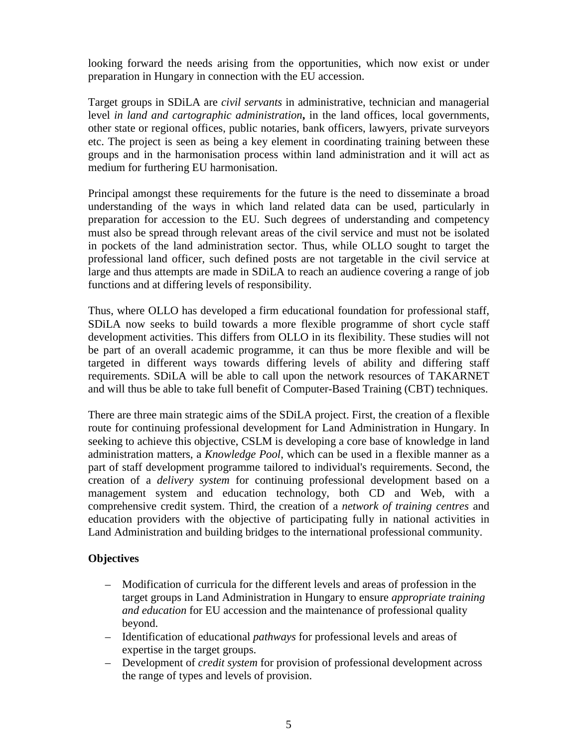looking forward the needs arising from the opportunities, which now exist or under preparation in Hungary in connection with the EU accession.

Target groups in SDiLA are *civil servants* in administrative, technician and managerial level *in land and cartographic administration***,** in the land offices, local governments, other state or regional offices, public notaries, bank officers, lawyers, private surveyors etc. The project is seen as being a key element in coordinating training between these groups and in the harmonisation process within land administration and it will act as medium for furthering EU harmonisation.

Principal amongst these requirements for the future is the need to disseminate a broad understanding of the ways in which land related data can be used, particularly in preparation for accession to the EU. Such degrees of understanding and competency must also be spread through relevant areas of the civil service and must not be isolated in pockets of the land administration sector. Thus, while OLLO sought to target the professional land officer, such defined posts are not targetable in the civil service at large and thus attempts are made in SDiLA to reach an audience covering a range of job functions and at differing levels of responsibility.

Thus, where OLLO has developed a firm educational foundation for professional staff, SDiLA now seeks to build towards a more flexible programme of short cycle staff development activities. This differs from OLLO in its flexibility. These studies will not be part of an overall academic programme, it can thus be more flexible and will be targeted in different ways towards differing levels of ability and differing staff requirements. SDiLA will be able to call upon the network resources of TAKARNET and will thus be able to take full benefit of Computer-Based Training (CBT) techniques.

There are three main strategic aims of the SDiLA project. First, the creation of a flexible route for continuing professional development for Land Administration in Hungary. In seeking to achieve this objective, CSLM is developing a core base of knowledge in land administration matters, a *Knowledge Pool*, which can be used in a flexible manner as a part of staff development programme tailored to individual's requirements. Second, the creation of a *delivery system* for continuing professional development based on a management system and education technology, both CD and Web, with a comprehensive credit system. Third, the creation of a *network of training centres* and education providers with the objective of participating fully in national activities in Land Administration and building bridges to the international professional community.

## **Objectives**

- Modification of curricula for the different levels and areas of profession in the target groups in Land Administration in Hungary to ensure *appropriate training and education* for EU accession and the maintenance of professional quality beyond.
- Identification of educational *pathways* for professional levels and areas of expertise in the target groups.
- Development of *credit system* for provision of professional development across the range of types and levels of provision.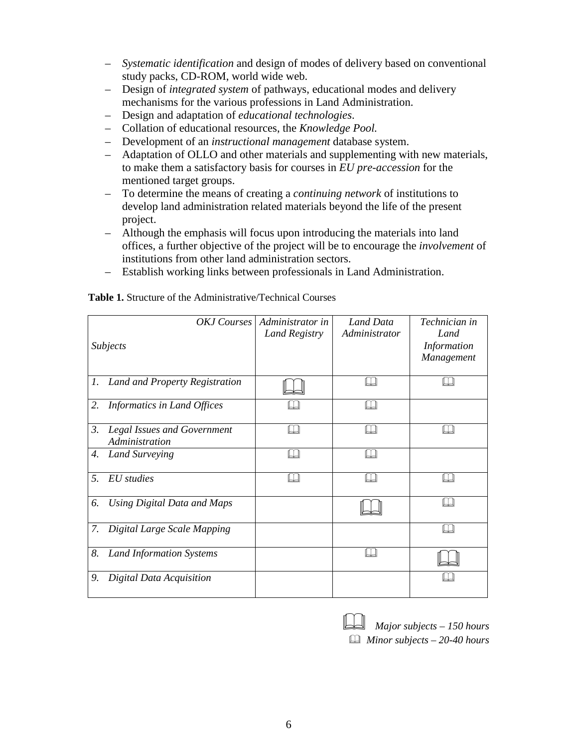- *Systematic identification* and design of modes of delivery based on conventional study packs, CD-ROM, world wide web.
- Design of *integrated system* of pathways, educational modes and delivery mechanisms for the various professions in Land Administration.
- Design and adaptation of *educational technologies*.
- Collation of educational resources, the *Knowledge Pool.*
- Development of an *instructional management* database system.
- Adaptation of OLLO and other materials and supplementing with new materials, to make them a satisfactory basis for courses in *EU pre-accession* for the mentioned target groups.
- To determine the means of creating a *continuing network* of institutions to develop land administration related materials beyond the life of the present project.
- Although the emphasis will focus upon introducing the materials into land offices, a further objective of the project will be to encourage the *involvement* of institutions from other land administration sectors.
- Establish working links between professionals in Land Administration.

| Subjects         |                                                      | OKJ Courses Administrator in<br><b>Land Registry</b> | Land Data<br>Administrator | Technician in<br>Land<br><b>Information</b><br>Management |
|------------------|------------------------------------------------------|------------------------------------------------------|----------------------------|-----------------------------------------------------------|
|                  | 1. Land and Property Registration                    |                                                      |                            |                                                           |
| 2.               | Informatics in Land Offices                          |                                                      |                            |                                                           |
| 3.               | <b>Legal Issues and Government</b><br>Administration |                                                      |                            |                                                           |
| 4.               | Land Surveying                                       |                                                      |                            |                                                           |
| 5.<br>EU studies |                                                      |                                                      |                            |                                                           |
| 6.               | Using Digital Data and Maps                          |                                                      |                            |                                                           |
| 7.               | Digital Large Scale Mapping                          |                                                      |                            |                                                           |
| 8.               | <b>Land Information Systems</b>                      |                                                      |                            |                                                           |
| 9.               | Digital Data Acquisition                             |                                                      |                            |                                                           |

**Table 1.** Structure of the Administrative/Technical Courses

| $\Box$ Major subjects - 150 hours   |
|-------------------------------------|
| $\Box$ Minor subjects – 20-40 hours |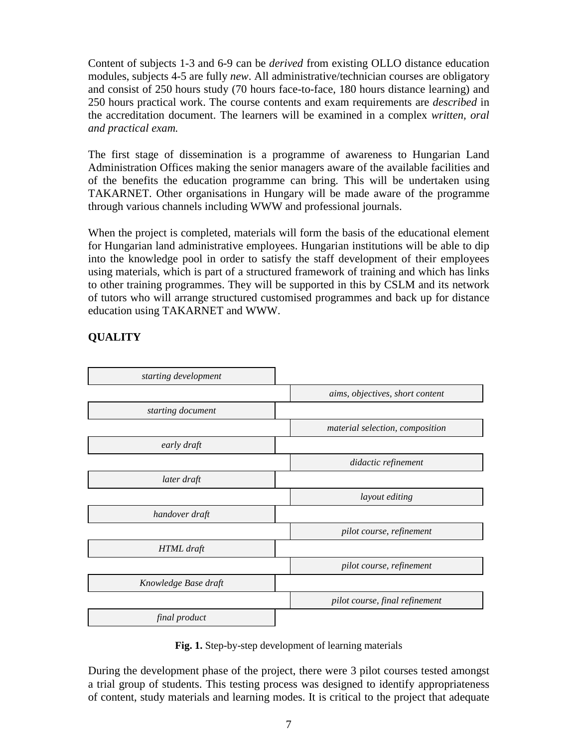Content of subjects 1-3 and 6-9 can be *derived* from existing OLLO distance education modules, subjects 4-5 are fully *new*. All administrative/technician courses are obligatory and consist of 250 hours study (70 hours face-to-face, 180 hours distance learning) and 250 hours practical work. The course contents and exam requirements are *described* in the accreditation document. The learners will be examined in a complex *written, oral and practical exam.*

The first stage of dissemination is a programme of awareness to Hungarian Land Administration Offices making the senior managers aware of the available facilities and of the benefits the education programme can bring. This will be undertaken using TAKARNET. Other organisations in Hungary will be made aware of the programme through various channels including WWW and professional journals.

When the project is completed, materials will form the basis of the educational element for Hungarian land administrative employees. Hungarian institutions will be able to dip into the knowledge pool in order to satisfy the staff development of their employees using materials, which is part of a structured framework of training and which has links to other training programmes. They will be supported in this by CSLM and its network of tutors who will arrange structured customised programmes and back up for distance education using TAKARNET and WWW.

# **QUALITY**



**Fig. 1.** Step-by-step development of learning materials

During the development phase of the project, there were 3 pilot courses tested amongst a trial group of students. This testing process was designed to identify appropriateness of content, study materials and learning modes. It is critical to the project that adequate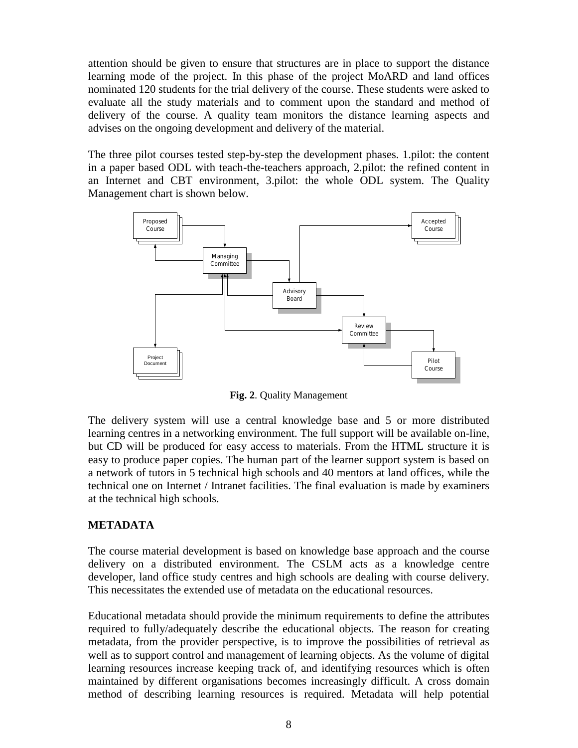attention should be given to ensure that structures are in place to support the distance learning mode of the project. In this phase of the project MoARD and land offices nominated 120 students for the trial delivery of the course. These students were asked to evaluate all the study materials and to comment upon the standard and method of delivery of the course. A quality team monitors the distance learning aspects and advises on the ongoing development and delivery of the material.

The three pilot courses tested step-by-step the development phases. 1.pilot: the content in a paper based ODL with teach-the-teachers approach, 2.pilot: the refined content in an Internet and CBT environment, 3.pilot: the whole ODL system. The Quality Management chart is shown below.



**Fig. 2**. Quality Management

The delivery system will use a central knowledge base and 5 or more distributed learning centres in a networking environment. The full support will be available on-line, but CD will be produced for easy access to materials. From the HTML structure it is easy to produce paper copies. The human part of the learner support system is based on a network of tutors in 5 technical high schools and 40 mentors at land offices, while the technical one on Internet / Intranet facilities. The final evaluation is made by examiners at the technical high schools.

#### **METADATA**

The course material development is based on knowledge base approach and the course delivery on a distributed environment. The CSLM acts as a knowledge centre developer, land office study centres and high schools are dealing with course delivery. This necessitates the extended use of metadata on the educational resources.

Educational metadata should provide the minimum requirements to define the attributes required to fully/adequately describe the educational objects. The reason for creating metadata, from the provider perspective, is to improve the possibilities of retrieval as well as to support control and management of learning objects. As the volume of digital learning resources increase keeping track of, and identifying resources which is often maintained by different organisations becomes increasingly difficult. A cross domain method of describing learning resources is required. Metadata will help potential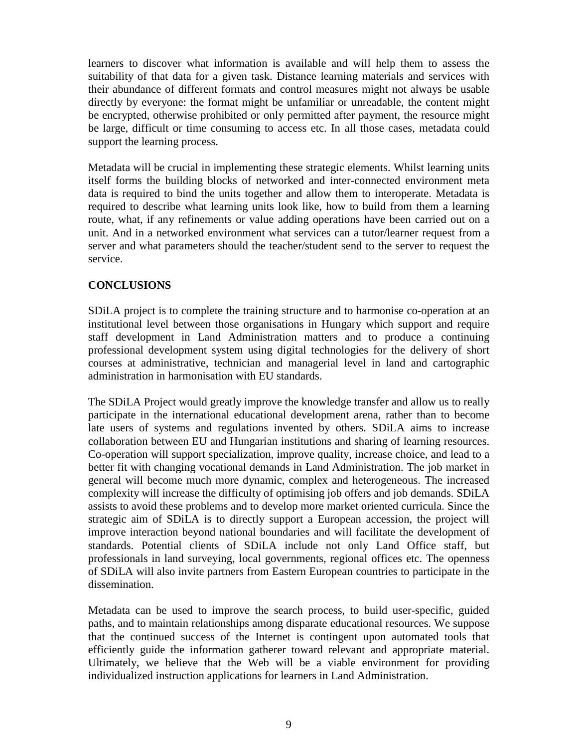learners to discover what information is available and will help them to assess the suitability of that data for a given task. Distance learning materials and services with their abundance of different formats and control measures might not always be usable directly by everyone: the format might be unfamiliar or unreadable, the content might be encrypted, otherwise prohibited or only permitted after payment, the resource might be large, difficult or time consuming to access etc. In all those cases, metadata could support the learning process.

Metadata will be crucial in implementing these strategic elements. Whilst learning units itself forms the building blocks of networked and inter-connected environment meta data is required to bind the units together and allow them to interoperate. Metadata is required to describe what learning units look like, how to build from them a learning route, what, if any refinements or value adding operations have been carried out on a unit. And in a networked environment what services can a tutor/learner request from a server and what parameters should the teacher/student send to the server to request the service.

### **CONCLUSIONS**

SDiLA project is to complete the training structure and to harmonise co-operation at an institutional level between those organisations in Hungary which support and require staff development in Land Administration matters and to produce a continuing professional development system using digital technologies for the delivery of short courses at administrative, technician and managerial level in land and cartographic administration in harmonisation with EU standards.

The SDiLA Project would greatly improve the knowledge transfer and allow us to really participate in the international educational development arena, rather than to become late users of systems and regulations invented by others. SDiLA aims to increase collaboration between EU and Hungarian institutions and sharing of learning resources. Co-operation will support specialization, improve quality, increase choice, and lead to a better fit with changing vocational demands in Land Administration. The job market in general will become much more dynamic, complex and heterogeneous. The increased complexity will increase the difficulty of optimising job offers and job demands. SDiLA assists to avoid these problems and to develop more market oriented curricula. Since the strategic aim of SDiLA is to directly support a European accession, the project will improve interaction beyond national boundaries and will facilitate the development of standards. Potential clients of SDiLA include not only Land Office staff, but professionals in land surveying, local governments, regional offices etc. The openness of SDiLA will also invite partners from Eastern European countries to participate in the dissemination.

Metadata can be used to improve the search process, to build user-specific, guided paths, and to maintain relationships among disparate educational resources. We suppose that the continued success of the Internet is contingent upon automated tools that efficiently guide the information gatherer toward relevant and appropriate material. Ultimately, we believe that the Web will be a viable environment for providing individualized instruction applications for learners in Land Administration.